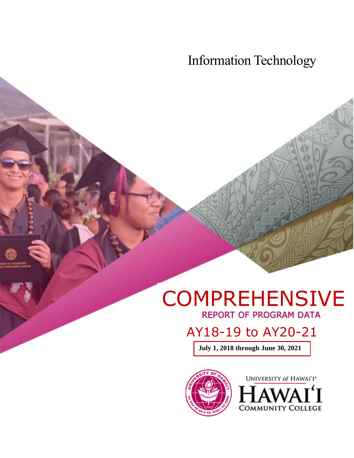Information Technology

# COMPREHENSIVE

## AY18-19 to AY20-21

**July 1, 2018 through June 30, 2021**



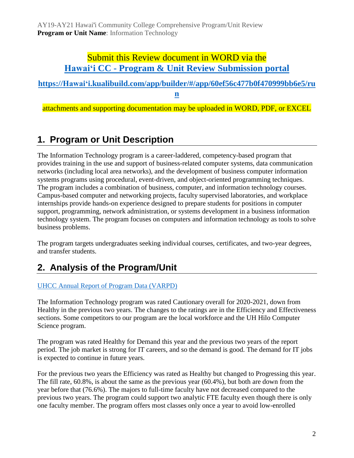#### Submit this Review document in WORD via the **Hawaiʻi CC - [Program & Unit Review Submission portal](https://hawaii.kualibuild.com/app/builder/#/app/60ef56c477b0f470999bb6e5/run)**

**[https://Hawaiʻi.kualibuild.com/app/builder/#/app/60ef56c477b0f470999bb6e5/ru](https://hawaii.kualibuild.com/app/builder/#/app/60ef56c477b0f470999bb6e5/run) [n](https://hawaii.kualibuild.com/app/builder/#/app/60ef56c477b0f470999bb6e5/run)**

attachments and supporting documentation may be uploaded in WORD, PDF, or EXCEL

## **1. Program or Unit Description**

The Information Technology program is a career-laddered, competency-based program that provides training in the use and support of business-related computer systems, data communication networks (including local area networks), and the development of business computer information systems programs using procedural, event-driven, and object-oriented programming techniques. The program includes a combination of business, computer, and information technology courses. Campus-based computer and networking projects, faculty supervised laboratories, and workplace internships provide hands-on experience designed to prepare students for positions in computer support, programming, network administration, or systems development in a business information technology system. The program focuses on computers and information technology as tools to solve business problems.

The program targets undergraduates seeking individual courses, certificates, and two-year degrees, and transfer students.

## **2. Analysis of the Program/Unit**

#### [UHCC Annual Report of Program Data \(VARPD\)](https://uhcc.hawaii.edu/varpd/)

The Information Technology program was rated Cautionary overall for 2020-2021, down from Healthy in the previous two years. The changes to the ratings are in the Efficiency and Effectiveness sections. Some competitors to our program are the local workforce and the UH Hilo Computer Science program.

The program was rated Healthy for Demand this year and the previous two years of the report period. The job market is strong for IT careers, and so the demand is good. The demand for IT jobs is expected to continue in future years.

For the previous two years the Efficiency was rated as Healthy but changed to Progressing this year. The fill rate, 60.8%, is about the same as the previous year (60.4%), but both are down from the year before that (76.6%). The majors to full-time faculty have not decreased compared to the previous two years. The program could support two analytic FTE faculty even though there is only one faculty member. The program offers most classes only once a year to avoid low-enrolled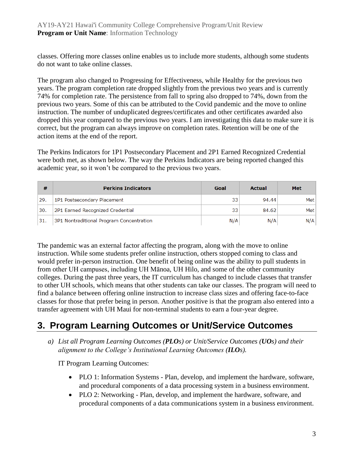#### AY19-AY21 Hawai'i Community College Comprehensive Program/Unit Review **Program or Unit Name**: Information Technology

classes. Offering more classes online enables us to include more students, although some students do not want to take online classes.

The program also changed to Progressing for Effectiveness, while Healthy for the previous two years. The program completion rate dropped slightly from the previous two years and is currently 74% for completion rate. The persistence from fall to spring also dropped to 74%, down from the previous two years. Some of this can be attributed to the Covid pandemic and the move to online instruction. The number of unduplicated degrees/certificates and other certificates awarded also dropped this year compared to the previous two years. I am investigating this data to make sure it is correct, but the program can always improve on completion rates. Retention will be one of the action items at the end of the report.

The Perkins Indicators for 1P1 Postsecondary Placement and 2P1 Earned Recognized Credential were both met, as shown below. The way the Perkins Indicators are being reported changed this academic year, so it won't be compared to the previous two years.

|     | <b>Perkins Indicators</b>                | Goal | Actual | <b>Met</b> |
|-----|------------------------------------------|------|--------|------------|
| 29. | 1P1 Postsecondary Placement              | 33   | 94.44  | Met        |
| 30. | 2P1 Earned Recognized Credential         | 33   | 84.62  | Met l      |
| 31. | 3P1 Nontraditional Program Concentration | N/A  | N/A    | N/A        |

The pandemic was an external factor affecting the program, along with the move to online instruction. While some students prefer online instruction, others stopped coming to class and would prefer in-person instruction. One benefit of being online was the ability to pull students in from other UH campuses, including UH Mānoa, UH Hilo, and some of the other community colleges. During the past three years, the IT curriculum has changed to include classes that transfer to other UH schools, which means that other students can take our classes. The program will need to find a balance between offering online instruction to increase class sizes and offering face-to-face classes for those that prefer being in person. Another positive is that the program also entered into a transfer agreement with UH Maui for non-terminal students to earn a four-year degree.

## **3. Program Learning Outcomes or Unit/Service Outcomes**

*a) List all Program Learning Outcomes (PLOs) or Unit/Service Outcomes (UOs) and their alignment to the College's Institutional Learning Outcomes (ILOs).*

IT Program Learning Outcomes:

- PLO 1: Information Systems Plan, develop, and implement the hardware, software, and procedural components of a data processing system in a business environment.
- PLO 2: Networking Plan, develop, and implement the hardware, software, and procedural components of a data communications system in a business environment.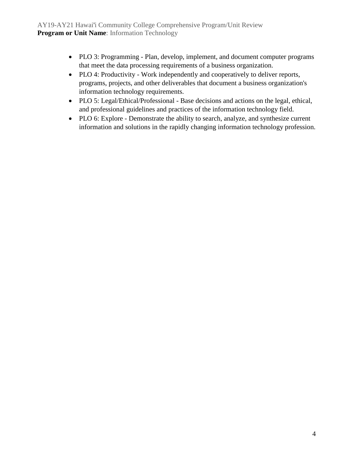- PLO 3: Programming Plan, develop, implement, and document computer programs that meet the data processing requirements of a business organization.
- PLO 4: Productivity Work independently and cooperatively to deliver reports, programs, projects, and other deliverables that document a business organization's information technology requirements.
- PLO 5: Legal/Ethical/Professional Base decisions and actions on the legal, ethical, and professional guidelines and practices of the information technology field.
- PLO 6: Explore Demonstrate the ability to search, analyze, and synthesize current information and solutions in the rapidly changing information technology profession.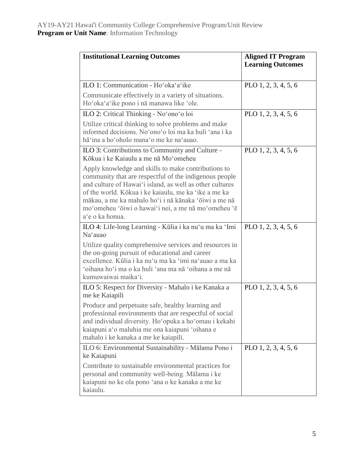| <b>Institutional Learning Outcomes</b>                                                                                                                                                                                                                                                                                                                              | <b>Aligned IT Program</b><br><b>Learning Outcomes</b> |
|---------------------------------------------------------------------------------------------------------------------------------------------------------------------------------------------------------------------------------------------------------------------------------------------------------------------------------------------------------------------|-------------------------------------------------------|
| ILO 1: Communication - Ho'oka'a'ike                                                                                                                                                                                                                                                                                                                                 | PLO 1, 2, 3, 4, 5, 6                                  |
| Communicate effectively in a variety of situations.<br>Ho'oka'a'ike pono i nā manawa like 'ole.                                                                                                                                                                                                                                                                     |                                                       |
| ILO 2: Critical Thinking - No'ono'o loi                                                                                                                                                                                                                                                                                                                             | PLO 1, 2, 3, 4, 5, 6                                  |
| Utilize critical thinking to solve problems and make<br>informed decisions. No'ono'o loi ma ka huli 'ana i ka<br>hā'ina a ho'oholo mana'o me ke na'auao.                                                                                                                                                                                                            |                                                       |
| ILO 3: Contributions to Community and Culture -<br>Kōkua i ke Kajaulu a me nā Mo'omeheu                                                                                                                                                                                                                                                                             | PLO 1, 2, 3, 4, 5, 6                                  |
| Apply knowledge and skills to make contributions to<br>community that are respectful of the indigenous people<br>and culture of Hawai'i island, as well as other cultures<br>of the world. Kōkua i ke kaiaulu, me ka 'ike a me ka<br>mākau, a me ka mahalo ho'i i nā kānaka 'ōiwi a me nā<br>mo'omeheu 'ōiwi o hawai'i nei, a me nā mo'omeheu 'ē<br>a'e o ka honua. |                                                       |
| ILO 4: Life-long Learning - Kūlia i ka nu'u ma ka 'Imi<br>Na'auao                                                                                                                                                                                                                                                                                                   | PLO 1, 2, 3, 4, 5, 6                                  |
| Utilize quality comprehensive services and resources in<br>the on-going pursuit of educational and career<br>excellence. Kūlia i ka nu'u ma ka 'imi na'auao a ma ka<br>'oihana ho'i ma o ka huli 'ana ma nā 'oihana a me nā<br>kumuwaiwai maika'i.                                                                                                                  |                                                       |
| ILO 5: Respect for Diversity - Mahalo i ke Kanaka a<br>me ke Kaiapili                                                                                                                                                                                                                                                                                               | PLO $1, 2, 3, 4, 5, 6$                                |
| Produce and perpetuate safe, healthy learning and<br>professional environments that are respectful of social<br>and individual diversity. Ho'opuka a ho'omau i kekahi<br>kaiapuni a'o maluhia me ona kaiapuni 'oihana e<br>mahalo i ke kanaka a me ke kaiapili.                                                                                                     |                                                       |
| ILO 6: Environmental Sustainability - Mālama Pono i<br>ke Kaiapuni                                                                                                                                                                                                                                                                                                  | PLO 1, 2, 3, 4, 5, 6                                  |
| Contribute to sustainable environmental practices for<br>personal and community well-being. Mālama i ke<br>kaiapuni no ke ola pono 'ana o ke kanaka a me ke<br>kaiaulu.                                                                                                                                                                                             |                                                       |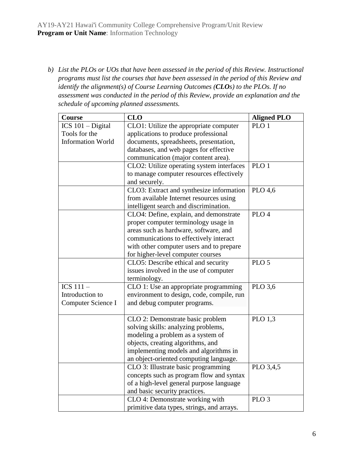*b) List the PLOs or UOs that have been assessed in the period of this Review. Instructional programs must list the courses that have been assessed in the period of this Review and identify the alignment(s) of Course Learning Outcomes (CLOs) to the PLOs. If no assessment was conducted in the period of this Review, provide an explanation and the schedule of upcoming planned assessments.*

| Course                   | <b>CLO</b>                                 | <b>Aligned PLO</b> |
|--------------------------|--------------------------------------------|--------------------|
| ICS $101 - Digital$      | CLO1: Utilize the appropriate computer     | PLO <sub>1</sub>   |
| Tools for the            | applications to produce professional       |                    |
| <b>Information World</b> | documents, spreadsheets, presentation,     |                    |
|                          | databases, and web pages for effective     |                    |
|                          | communication (major content area).        |                    |
|                          | CLO2: Utilize operating system interfaces  | PLO <sub>1</sub>   |
|                          | to manage computer resources effectively   |                    |
|                          | and securely.                              |                    |
|                          | CLO3: Extract and synthesize information   | PLO 4,6            |
|                          | from available Internet resources using    |                    |
|                          | intelligent search and discrimination.     |                    |
|                          | CLO4: Define, explain, and demonstrate     | PLO <sub>4</sub>   |
|                          | proper computer terminology usage in       |                    |
|                          | areas such as hardware, software, and      |                    |
|                          | communications to effectively interact     |                    |
|                          | with other computer users and to prepare   |                    |
|                          | for higher-level computer courses          |                    |
|                          | CLO5: Describe ethical and security        | PLO <sub>5</sub>   |
|                          | issues involved in the use of computer     |                    |
|                          | terminology.                               |                    |
| ICS $111-$               | CLO 1: Use an appropriate programming      | PLO 3,6            |
| Introduction to          | environment to design, code, compile, run  |                    |
| Computer Science I       | and debug computer programs.               |                    |
|                          |                                            |                    |
|                          | CLO 2: Demonstrate basic problem           | <b>PLO 1,3</b>     |
|                          | solving skills: analyzing problems,        |                    |
|                          | modeling a problem as a system of          |                    |
|                          | objects, creating algorithms, and          |                    |
|                          | implementing models and algorithms in      |                    |
|                          | an object-oriented computing language.     |                    |
|                          | CLO 3: Illustrate basic programming        | PLO 3,4,5          |
|                          | concepts such as program flow and syntax   |                    |
|                          | of a high-level general purpose language   |                    |
|                          | and basic security practices.              |                    |
|                          | CLO 4: Demonstrate working with            | PLO <sub>3</sub>   |
|                          | primitive data types, strings, and arrays. |                    |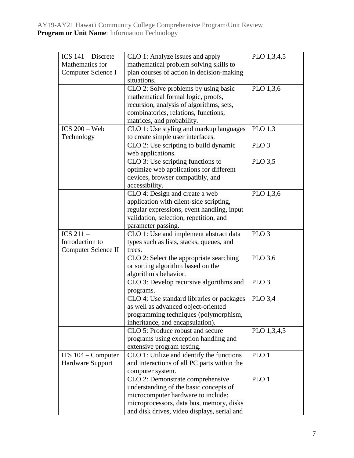| ICS 141 - Discrete   | CLO 1: Analyze issues and apply             | PLO 1,3,4,5      |
|----------------------|---------------------------------------------|------------------|
| Mathematics for      | mathematical problem solving skills to      |                  |
| Computer Science I   | plan courses of action in decision-making   |                  |
|                      | situations.                                 |                  |
|                      | CLO 2: Solve problems by using basic        | PLO 1,3,6        |
|                      | mathematical formal logic, proofs,          |                  |
|                      | recursion, analysis of algorithms, sets,    |                  |
|                      | combinatorics, relations, functions,        |                  |
|                      | matrices, and probability.                  |                  |
| $ICS 200 - Web$      | CLO 1: Use styling and markup languages     | <b>PLO 1,3</b>   |
| Technology           | to create simple user interfaces.           |                  |
|                      | CLO 2: Use scripting to build dynamic       | PLO <sub>3</sub> |
|                      | web applications.                           |                  |
|                      | CLO 3: Use scripting functions to           | PLO 3,5          |
|                      | optimize web applications for different     |                  |
|                      | devices, browser compatibly, and            |                  |
|                      | accessibility.                              |                  |
|                      | CLO 4: Design and create a web              | PLO 1,3,6        |
|                      | application with client-side scripting,     |                  |
|                      | regular expressions, event handling, input  |                  |
|                      | validation, selection, repetition, and      |                  |
|                      | parameter passing.                          |                  |
| ICS $211-$           | CLO 1: Use and implement abstract data      | PLO <sub>3</sub> |
| Introduction to      | types such as lists, stacks, queues, and    |                  |
| Computer Science II  | trees.                                      |                  |
|                      | CLO 2: Select the appropriate searching     | PLO 3,6          |
|                      | or sorting algorithm based on the           |                  |
|                      | algorithm's behavior.                       |                  |
|                      | CLO 3: Develop recursive algorithms and     | PLO <sub>3</sub> |
|                      | programs.                                   |                  |
|                      | CLO 4: Use standard libraries or packages   | PLO 3,4          |
|                      | as well as advanced object-oriented         |                  |
|                      | programming techniques (polymorphism,       |                  |
|                      | inheritance, and encapsulation).            |                  |
|                      | CLO 5: Produce robust and secure            | PLO 1,3,4,5      |
|                      | programs using exception handling and       |                  |
|                      | extensive program testing.                  |                  |
| ITS $104$ – Computer | CLO 1: Utilize and identify the functions   | PLO <sub>1</sub> |
| Hardware Support     | and interactions of all PC parts within the |                  |
|                      | computer system.                            |                  |
|                      | CLO 2: Demonstrate comprehensive            | PLO <sub>1</sub> |
|                      | understanding of the basic concepts of      |                  |
|                      | microcomputer hardware to include:          |                  |
|                      | microprocessors, data bus, memory, disks    |                  |
|                      | and disk drives, video displays, serial and |                  |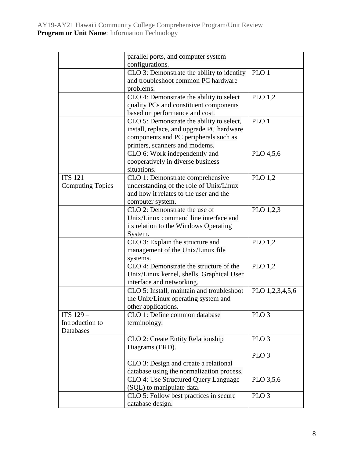|                         | parallel ports, and computer system        |                  |
|-------------------------|--------------------------------------------|------------------|
|                         | configurations.                            |                  |
|                         | CLO 3: Demonstrate the ability to identify | PLO <sub>1</sub> |
|                         | and troubleshoot common PC hardware        |                  |
|                         | problems.                                  |                  |
|                         | CLO 4: Demonstrate the ability to select   | <b>PLO 1,2</b>   |
|                         | quality PCs and constituent components     |                  |
|                         | based on performance and cost.             |                  |
|                         | CLO 5: Demonstrate the ability to select,  | PLO <sub>1</sub> |
|                         | install, replace, and upgrade PC hardware  |                  |
|                         | components and PC peripherals such as      |                  |
|                         | printers, scanners and modems.             |                  |
|                         | CLO 6: Work independently and              | PLO 4,5,6        |
|                         | cooperatively in diverse business          |                  |
|                         | situations.                                |                  |
| ITS $121 -$             | CLO 1: Demonstrate comprehensive           | PLO 1,2          |
| <b>Computing Topics</b> | understanding of the role of Unix/Linux    |                  |
|                         | and how it relates to the user and the     |                  |
|                         | computer system.                           |                  |
|                         | CLO 2: Demonstrate the use of              | PLO 1,2,3        |
|                         | Unix/Linux command line interface and      |                  |
|                         | its relation to the Windows Operating      |                  |
|                         | System.                                    |                  |
|                         | CLO 3: Explain the structure and           | PLO 1,2          |
|                         | management of the Unix/Linux file          |                  |
|                         | systems.                                   |                  |
|                         | CLO 4: Demonstrate the structure of the    | <b>PLO 1,2</b>   |
|                         | Unix/Linux kernel, shells, Graphical User  |                  |
|                         | interface and networking.                  |                  |
|                         | CLO 5: Install, maintain and troubleshoot  | PLO 1,2,3,4,5,6  |
|                         | the Unix/Linux operating system and        |                  |
|                         | other applications.                        |                  |
| ITS 129-                | CLO 1: Define common database              | PLO <sub>3</sub> |
| Introduction to         | terminology.                               |                  |
| Databases               |                                            |                  |
|                         | CLO 2: Create Entity Relationship          | PLO <sub>3</sub> |
|                         | Diagrams (ERD).                            |                  |
|                         |                                            | PLO <sub>3</sub> |
|                         | CLO 3: Design and create a relational      |                  |
|                         | database using the normalization process.  |                  |
|                         | CLO 4: Use Structured Query Language       | PLO 3,5,6        |
|                         | (SQL) to manipulate data.                  |                  |
|                         | CLO 5: Follow best practices in secure     | PLO <sub>3</sub> |
|                         | database design.                           |                  |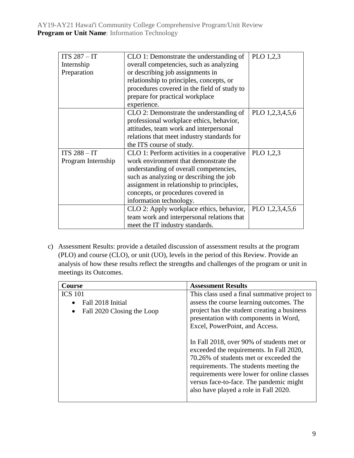| $ITS 287 - IT$     | CLO 1: Demonstrate the understanding of     | PLO 1,2,3       |
|--------------------|---------------------------------------------|-----------------|
| Internship         | overall competencies, such as analyzing     |                 |
| Preparation        | or describing job assignments in            |                 |
|                    | relationship to principles, concepts, or    |                 |
|                    | procedures covered in the field of study to |                 |
|                    | prepare for practical workplace             |                 |
|                    | experience.                                 |                 |
|                    | CLO 2: Demonstrate the understanding of     | PLO 1,2,3,4,5,6 |
|                    | professional workplace ethics, behavior,    |                 |
|                    | attitudes, team work and interpersonal      |                 |
|                    | relations that meet industry standards for  |                 |
|                    | the ITS course of study.                    |                 |
| $ITS 288 - IT$     | CLO 1: Perform activities in a cooperative  | PLO 1,2,3       |
| Program Internship | work environment that demonstrate the       |                 |
|                    | understanding of overall competencies,      |                 |
|                    | such as analyzing or describing the job     |                 |
|                    | assignment in relationship to principles,   |                 |
|                    | concepts, or procedures covered in          |                 |
|                    | information technology.                     |                 |
|                    | CLO 2: Apply workplace ethics, behavior,    | PLO 1,2,3,4,5,6 |
|                    | team work and interpersonal relations that  |                 |
|                    | meet the IT industry standards.             |                 |

c) Assessment Results: provide a detailed discussion of assessment results at the program (PLO) and course (CLO), or unit (UO), levels in the period of this Review. Provide an analysis of how these results reflect the strengths and challenges of the program or unit in meetings its Outcomes.

| <b>Course</b>                                                                  | <b>Assessment Results</b>                                                                                                                                                                                                                                                                                                                                                                                                                                                                                                         |
|--------------------------------------------------------------------------------|-----------------------------------------------------------------------------------------------------------------------------------------------------------------------------------------------------------------------------------------------------------------------------------------------------------------------------------------------------------------------------------------------------------------------------------------------------------------------------------------------------------------------------------|
| <b>ICS 101</b><br>Fall 2018 Initial<br>Fall 2020 Closing the Loop<br>$\bullet$ | This class used a final summative project to<br>assess the course learning outcomes. The<br>project has the student creating a business<br>presentation with components in Word,<br>Excel, PowerPoint, and Access.<br>In Fall 2018, over 90% of students met or<br>exceeded the requirements. In Fall 2020,<br>70.26% of students met or exceeded the<br>requirements. The students meeting the<br>requirements were lower for online classes<br>versus face-to-face. The pandemic might<br>also have played a role in Fall 2020. |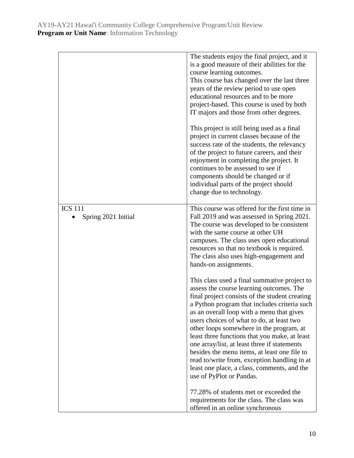|                                       | The students enjoy the final project, and it<br>is a good measure of their abilities for the<br>course learning outcomes.<br>This course has changed over the last three<br>years of the review period to use open<br>educational resources and to be more<br>project-based. This course is used by both<br>IT majors and those from other degrees.                                                                                                                                                                                                                                                          |
|---------------------------------------|--------------------------------------------------------------------------------------------------------------------------------------------------------------------------------------------------------------------------------------------------------------------------------------------------------------------------------------------------------------------------------------------------------------------------------------------------------------------------------------------------------------------------------------------------------------------------------------------------------------|
|                                       | This project is still being used as a final<br>project in current classes because of the<br>success rate of the students, the relevancy<br>of the project to future careers, and their<br>enjoyment in completing the project. It<br>continues to be assessed to see if<br>components should be changed or if<br>individual parts of the project should<br>change due to technology.                                                                                                                                                                                                                         |
| <b>ICS 111</b><br>Spring 2021 Initial | This course was offered for the first time in<br>Fall 2019 and was assessed in Spring 2021.<br>The course was developed to be consistent<br>with the same course at other UH<br>campuses. The class uses open educational<br>resources so that no textbook is required.<br>The class also uses high-engagement and<br>hands-on assignments.                                                                                                                                                                                                                                                                  |
|                                       | This class used a final summative project to<br>assess the course learning outcomes. The<br>final project consists of the student creating<br>a Python program that includes criteria such<br>as an overall loop with a menu that gives<br>users choices of what to do, at least two<br>other loops somewhere in the program, at<br>least three functions that you make, at least<br>one array/list, at least three if statements<br>besides the menu items, at least one file to<br>read to/write from, exception handling in at<br>least one place, a class, comments, and the<br>use of PyPlot or Pandas. |
|                                       | 77.28% of students met or exceeded the<br>requirements for the class. The class was<br>offered in an online synchronous                                                                                                                                                                                                                                                                                                                                                                                                                                                                                      |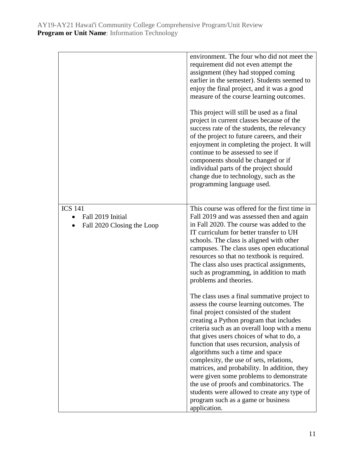|                                                                   | environment. The four who did not meet the<br>requirement did not even attempt the<br>assignment (they had stopped coming<br>earlier in the semester). Students seemed to<br>enjoy the final project, and it was a good<br>measure of the course learning outcomes.<br>This project will still be used as a final<br>project in current classes because of the<br>success rate of the students, the relevancy<br>of the project to future careers, and their<br>enjoyment in completing the project. It will<br>continue to be assessed to see if<br>components should be changed or if<br>individual parts of the project should<br>change due to technology, such as the<br>programming language used. |
|-------------------------------------------------------------------|----------------------------------------------------------------------------------------------------------------------------------------------------------------------------------------------------------------------------------------------------------------------------------------------------------------------------------------------------------------------------------------------------------------------------------------------------------------------------------------------------------------------------------------------------------------------------------------------------------------------------------------------------------------------------------------------------------|
| <b>ICS 141</b><br>Fall 2019 Initial<br>Fall 2020 Closing the Loop | This course was offered for the first time in<br>Fall 2019 and was assessed then and again<br>in Fall 2020. The course was added to the<br>IT curriculum for better transfer to UH<br>schools. The class is aligned with other<br>campuses. The class uses open educational<br>resources so that no textbook is required.<br>The class also uses practical assignments,<br>such as programming, in addition to math<br>problems and theories.                                                                                                                                                                                                                                                            |
|                                                                   | The class uses a final summative project to<br>assess the course learning outcomes. The<br>final project consisted of the student<br>creating a Python program that includes<br>criteria such as an overall loop with a menu<br>that gives users choices of what to do, a<br>function that uses recursion, analysis of<br>algorithms such a time and space<br>complexity, the use of sets, relations,<br>matrices, and probability. In addition, they<br>were given some problems to demonstrate<br>the use of proofs and combinatorics. The<br>students were allowed to create any type of<br>program such as a game or business<br>application.                                                        |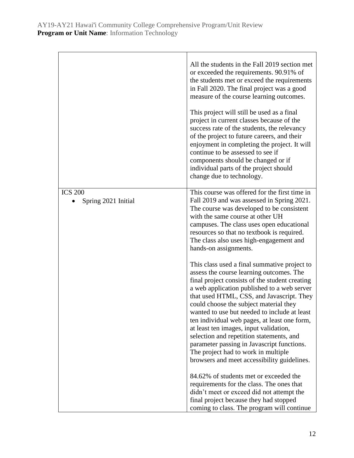|                                       | All the students in the Fall 2019 section met<br>or exceeded the requirements. 90.91% of<br>the students met or exceed the requirements<br>in Fall 2020. The final project was a good<br>measure of the course learning outcomes.<br>This project will still be used as a final<br>project in current classes because of the<br>success rate of the students, the relevancy<br>of the project to future careers, and their<br>enjoyment in completing the project. It will<br>continue to be assessed to see if<br>components should be changed or if<br>individual parts of the project should<br>change due to technology.                         |
|---------------------------------------|------------------------------------------------------------------------------------------------------------------------------------------------------------------------------------------------------------------------------------------------------------------------------------------------------------------------------------------------------------------------------------------------------------------------------------------------------------------------------------------------------------------------------------------------------------------------------------------------------------------------------------------------------|
| <b>ICS 200</b><br>Spring 2021 Initial | This course was offered for the first time in<br>Fall 2019 and was assessed in Spring 2021.<br>The course was developed to be consistent<br>with the same course at other UH<br>campuses. The class uses open educational<br>resources so that no textbook is required.<br>The class also uses high-engagement and<br>hands-on assignments.                                                                                                                                                                                                                                                                                                          |
|                                       | This class used a final summative project to<br>assess the course learning outcomes. The<br>final project consists of the student creating<br>a web application published to a web server<br>that used HTML, CSS, and Javascript. They<br>could choose the subject material they<br>wanted to use but needed to include at least<br>ten individual web pages, at least one form,<br>at least ten images, input validation,<br>selection and repetition statements, and<br>parameter passing in Javascript functions.<br>The project had to work in multiple<br>browsers and meet accessibility guidelines.<br>84.62% of students met or exceeded the |
|                                       | requirements for the class. The ones that<br>didn't meet or exceed did not attempt the<br>final project because they had stopped<br>coming to class. The program will continue                                                                                                                                                                                                                                                                                                                                                                                                                                                                       |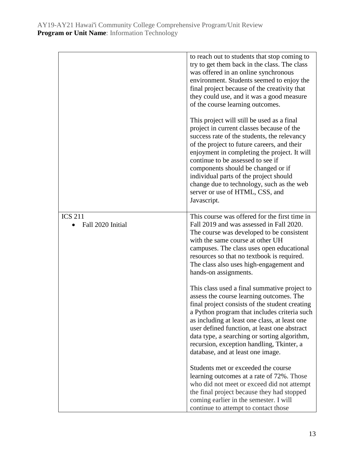|                                     | to reach out to students that stop coming to<br>try to get them back in the class. The class<br>was offered in an online synchronous<br>environment. Students seemed to enjoy the<br>final project because of the creativity that<br>they could use, and it was a good measure<br>of the course learning outcomes.                                                                                                                                        |
|-------------------------------------|-----------------------------------------------------------------------------------------------------------------------------------------------------------------------------------------------------------------------------------------------------------------------------------------------------------------------------------------------------------------------------------------------------------------------------------------------------------|
|                                     | This project will still be used as a final<br>project in current classes because of the<br>success rate of the students, the relevancy<br>of the project to future careers, and their<br>enjoyment in completing the project. It will<br>continue to be assessed to see if<br>components should be changed or if<br>individual parts of the project should<br>change due to technology, such as the web<br>server or use of HTML, CSS, and<br>Javascript. |
| <b>ICS 211</b><br>Fall 2020 Initial | This course was offered for the first time in<br>Fall 2019 and was assessed in Fall 2020.                                                                                                                                                                                                                                                                                                                                                                 |
|                                     | The course was developed to be consistent<br>with the same course at other UH<br>campuses. The class uses open educational<br>resources so that no textbook is required.<br>The class also uses high-engagement and<br>hands-on assignments.                                                                                                                                                                                                              |
|                                     | This class used a final summative project to<br>assess the course learning outcomes. The<br>final project consists of the student creating<br>a Python program that includes criteria such<br>as including at least one class, at least one<br>user defined function, at least one abstract<br>data type, a searching or sorting algorithm,<br>recursion, exception handling, Tkinter, a<br>database, and at least one image.                             |
|                                     | Students met or exceeded the course<br>learning outcomes at a rate of 72%. Those<br>who did not meet or exceed did not attempt<br>the final project because they had stopped<br>coming earlier in the semester. I will<br>continue to attempt to contact those                                                                                                                                                                                            |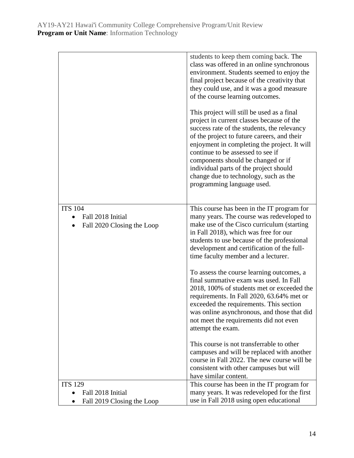|                                                                   | students to keep them coming back. The<br>class was offered in an online synchronous<br>environment. Students seemed to enjoy the<br>final project because of the creativity that<br>they could use, and it was a good measure<br>of the course learning outcomes.<br>This project will still be used as a final<br>project in current classes because of the<br>success rate of the students, the relevancy<br>of the project to future careers, and their<br>enjoyment in completing the project. It will<br>continue to be assessed to see if<br>components should be changed or if<br>individual parts of the project should<br>change due to technology, such as the<br>programming language used. |
|-------------------------------------------------------------------|---------------------------------------------------------------------------------------------------------------------------------------------------------------------------------------------------------------------------------------------------------------------------------------------------------------------------------------------------------------------------------------------------------------------------------------------------------------------------------------------------------------------------------------------------------------------------------------------------------------------------------------------------------------------------------------------------------|
| <b>ITS 104</b><br>Fall 2018 Initial<br>Fall 2020 Closing the Loop | This course has been in the IT program for<br>many years. The course was redeveloped to<br>make use of the Cisco curriculum (starting<br>in Fall 2018), which was free for our<br>students to use because of the professional<br>development and certification of the full-<br>time faculty member and a lecturer.                                                                                                                                                                                                                                                                                                                                                                                      |
|                                                                   | To assess the course learning outcomes, a<br>final summative exam was used. In Fall<br>2018, 100% of students met or exceeded the<br>requirements. In Fall 2020, 63.64% met or<br>exceeded the requirements. This section<br>was online asynchronous, and those that did<br>not meet the requirements did not even<br>attempt the exam.                                                                                                                                                                                                                                                                                                                                                                 |
|                                                                   | This course is not transferrable to other<br>campuses and will be replaced with another<br>course in Fall 2022. The new course will be<br>consistent with other campuses but will<br>have similar content.                                                                                                                                                                                                                                                                                                                                                                                                                                                                                              |
| <b>ITS 129</b>                                                    | This course has been in the IT program for                                                                                                                                                                                                                                                                                                                                                                                                                                                                                                                                                                                                                                                              |
| Fall 2018 Initial<br>Fall 2019 Closing the Loop                   | many years. It was redeveloped for the first<br>use in Fall 2018 using open educational                                                                                                                                                                                                                                                                                                                                                                                                                                                                                                                                                                                                                 |
|                                                                   |                                                                                                                                                                                                                                                                                                                                                                                                                                                                                                                                                                                                                                                                                                         |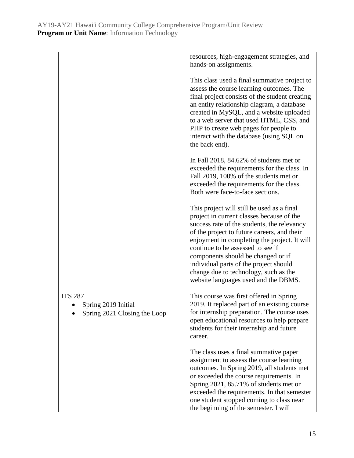|                                                                       | resources, high-engagement strategies, and<br>hands-on assignments.                                                                                                                                                                                                                                                                                                                                                                         |
|-----------------------------------------------------------------------|---------------------------------------------------------------------------------------------------------------------------------------------------------------------------------------------------------------------------------------------------------------------------------------------------------------------------------------------------------------------------------------------------------------------------------------------|
|                                                                       | This class used a final summative project to<br>assess the course learning outcomes. The<br>final project consists of the student creating<br>an entity relationship diagram, a database<br>created in MySQL, and a website uploaded<br>to a web server that used HTML, CSS, and<br>PHP to create web pages for people to<br>interact with the database (using SQL on<br>the back end).                                                     |
|                                                                       | In Fall 2018, 84.62% of students met or<br>exceeded the requirements for the class. In<br>Fall 2019, 100% of the students met or<br>exceeded the requirements for the class.<br>Both were face-to-face sections.                                                                                                                                                                                                                            |
|                                                                       | This project will still be used as a final<br>project in current classes because of the<br>success rate of the students, the relevancy<br>of the project to future careers, and their<br>enjoyment in completing the project. It will<br>continue to be assessed to see if<br>components should be changed or if<br>individual parts of the project should<br>change due to technology, such as the<br>website languages used and the DBMS. |
| <b>ITS 287</b><br>Spring 2019 Initial<br>Spring 2021 Closing the Loop | This course was first offered in Spring<br>2019. It replaced part of an existing course<br>for internship preparation. The course uses<br>open educational resources to help prepare<br>students for their internship and future<br>career.                                                                                                                                                                                                 |
|                                                                       | The class uses a final summative paper<br>assignment to assess the course learning<br>outcomes. In Spring 2019, all students met<br>or exceeded the course requirements. In<br>Spring 2021, 85.71% of students met or<br>exceeded the requirements. In that semester<br>one student stopped coming to class near<br>the beginning of the semester. I will                                                                                   |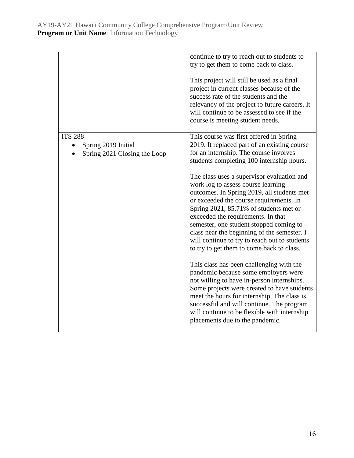|                                                                       | continue to try to reach out to students to<br>try to get them to come back to class.<br>This project will still be used as a final<br>project in current classes because of the<br>success rate of the students and the<br>relevancy of the project to future careers. It<br>will continue to be assessed to see if the<br>course is meeting student needs.                                                                                                                                                                                                                                                                                                                                                                                                                                                                                                                                                                                                                                        |
|-----------------------------------------------------------------------|-----------------------------------------------------------------------------------------------------------------------------------------------------------------------------------------------------------------------------------------------------------------------------------------------------------------------------------------------------------------------------------------------------------------------------------------------------------------------------------------------------------------------------------------------------------------------------------------------------------------------------------------------------------------------------------------------------------------------------------------------------------------------------------------------------------------------------------------------------------------------------------------------------------------------------------------------------------------------------------------------------|
| <b>ITS 288</b><br>Spring 2019 Initial<br>Spring 2021 Closing the Loop | This course was first offered in Spring<br>2019. It replaced part of an existing course<br>for an internship. The course involves<br>students completing 100 internship hours.<br>The class uses a supervisor evaluation and<br>work log to assess course learning<br>outcomes. In Spring 2019, all students met<br>or exceeded the course requirements. In<br>Spring 2021, 85.71% of students met or<br>exceeded the requirements. In that<br>semester, one student stopped coming to<br>class near the beginning of the semester. I<br>will continue to try to reach out to students<br>to try to get them to come back to class.<br>This class has been challenging with the<br>pandemic because some employers were<br>not willing to have in-person internships.<br>Some projects were created to have students<br>meet the hours for internship. The class is<br>successful and will continue. The program<br>will continue to be flexible with internship<br>placements due to the pandemic. |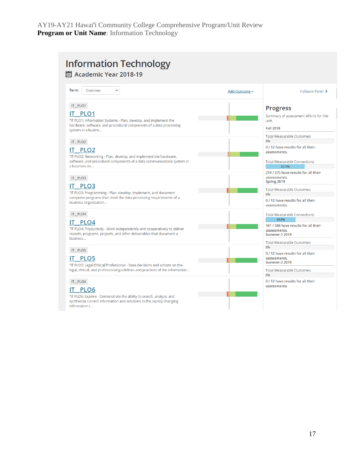| Term:<br>Overview<br>$\checkmark$                                                                                                                                                                  | Add Outcome - | Collapse Panel >                                                                                                                                                 |
|----------------------------------------------------------------------------------------------------------------------------------------------------------------------------------------------------|---------------|------------------------------------------------------------------------------------------------------------------------------------------------------------------|
| IT_PLO1<br>IT PLO1<br>"IT PLO1: Information Systems - Plan, develop, and implement the<br>hardware, software, and procedural components of a data processing<br>system in a busine                 |               | <b>Progress</b><br>Summary of assessment efforts for this<br>unit.<br><b>Fall 2018</b>                                                                           |
| IT_PLO2<br>PLO <sub>2</sub><br>IT.<br>"IT PLO2: Networking - Plan, develop, and implement the hardware,<br>software, and procedural components of a data communications system in<br>a business en |               | <b>Total Measurable Outcomes</b><br>0%<br>0 / 12 have results for all their<br>assessments.<br><b>Total Measurable Connections</b><br>57.1%                      |
| IT_PLO3<br>IT PLO3<br>"IT PLO3: Programming - Plan, develop, implement, and document<br>computer programs that meet the data processing requirements of a<br>business organization                 |               | 214 / 375 have results for all their<br>assessments.<br>Spring 2019<br><b>Total Measurable Outcomes</b><br>0%<br>0/12 have results for all their<br>assessments. |
| IT PLO4<br>IT PLO4<br>"IT PLO4: Productivity - Work independently and cooperatively to deliver<br>reports, programs, projects, and other deliverables that document a<br>business                  |               | <b>Total Measurable Connections</b><br>43.8%<br>161 / 368 have results for all their<br>assessments.<br><b>Summer-1 2019</b><br><b>Total Measurable Outcomes</b> |
| IT_PLO5<br>IT PLO5<br>"IT PLO5: Legal/Ethical/Professional - Base decisions and actions on the<br>legal, ethical, and professional guidelines and practices of the information                     |               | 0%<br>0 / 12 have results for all their<br>assessments.<br><b>Summer-2 2019</b><br><b>Total Measurable Outcomes</b>                                              |
| IT_PLO6<br>IT PLO6<br>"IT PLO6: Explore - Demonstrate the ability to search, analyze, and<br>synthesize current information and solutions in the rapidly changing<br>information t                 |               | 0%<br>0 / 12 have results for all their<br>assessments.                                                                                                          |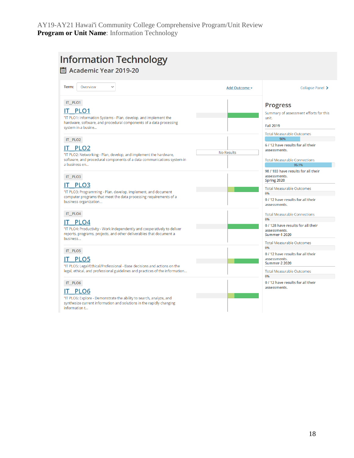| Overview<br>Term:<br>$\checkmark$                                                                                                                                                           | Add Outcome - | Collapse Panel >                                                                                                                                                  |
|---------------------------------------------------------------------------------------------------------------------------------------------------------------------------------------------|---------------|-------------------------------------------------------------------------------------------------------------------------------------------------------------------|
| IT_PLO1<br><b>IT PLO1</b><br>"IT PLO1: Information Systems - Plan, develop, and implement the<br>hardware, software, and procedural components of a data processing<br>system in a busine   |               | <b>Progress</b><br>Summary of assessment efforts for this<br>unit.<br><b>Fall 2019</b><br><b>Total Measurable Outcomes</b>                                        |
| IT_PLO2<br>IT PLO2<br>"IT PLO2: Networking - Plan, develop, and implement the hardware,<br>software, and procedural components of a data communications system in<br>a business en          | No Results    | 50%<br>6 / 12 have results for all their<br>assessments.<br><b>Total Measurable Connections</b><br>95.1%                                                          |
| IT_PLO3<br>PLO <sub>3</sub><br>"IT PLO3: Programming - Plan, develop, implement, and document<br>computer programs that meet the data processing requirements of a<br>business organization |               | 98 / 103 have results for all their<br>assessments.<br>Spring 2020<br><b>Total Measurable Outcomes</b><br>0%<br>0 / 12 have results for all their<br>assessments. |
| IT_PLO4<br>IT PLO4<br>"IT PLO4: Productivity - Work independently and cooperatively to deliver<br>reports, programs, projects, and other deliverables that document a<br>business           |               | <b>Total Measurable Connections</b><br>0%<br>0 / 128 have results for all their<br>assessments.<br><b>Summer-1 2020</b><br><b>Total Measurable Outcomes</b>       |
| IT_PLO5<br>IT PLO5<br>"IT PLO5: Legal/Ethical/Professional - Base decisions and actions on the<br>legal, ethical, and professional guidelines and practices of the information              |               | 0%<br>0 / 12 have results for all their<br>assessments.<br><b>Summer-2 2020</b><br><b>Total Measurable Outcomes</b><br>0%                                         |
| IT_PLO6<br>IT PLO6<br>"IT PLO6: Explore - Demonstrate the ability to search, analyze, and<br>synthesize current information and solutions in the rapidly changing                           |               | 0 / 12 have results for all their<br>assessments.                                                                                                                 |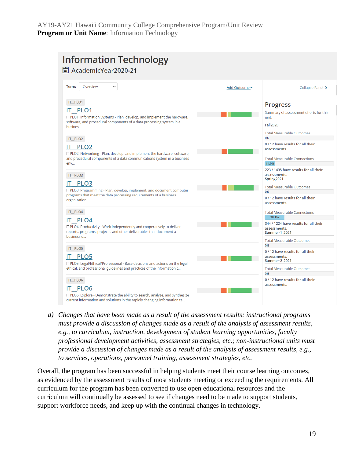|                                                                                                                                                                                    | Collapse Panel >                                                                                                                                                   |
|------------------------------------------------------------------------------------------------------------------------------------------------------------------------------------|--------------------------------------------------------------------------------------------------------------------------------------------------------------------|
| IT_PLO1<br>IT PLO1<br>IT PLO1: Information Systems - Plan, develop, and implement the hardware,<br>software, and procedural components of a data processing system in a<br>busines | <b>Progress</b><br>Summary of assessment efforts for this<br>unit.<br><b>Fall2020</b><br><b>Total Measurable Outcomes</b>                                          |
| IT_PLO2<br>IT PLO2<br>IT PLO2: Networking - Plan, develop, and implement the hardware, software,<br>and procedural components of a data communications system in a business<br>env | 0%<br>0 / 12 have results for all their<br>assessments.<br><b>Total Measurable Connections</b><br>14.9%                                                            |
| IT_PLO3<br>IT PLO3<br>IT PLO3: Programming - Plan, develop, implement, and document computer<br>programs that meet the data processing requirements of a business<br>organization. | 223 / 1495 have results for all their<br>assessments.<br>Spring2021<br><b>Total Measurable Outcomes</b><br>0%<br>0 / 12 have results for all their<br>assessments. |
| IT_PLO4<br>IT PLO4<br>IT PLO4: Productivity - Work independently and cooperatively to deliver<br>reports, programs, projects, and other deliverables that document a<br>business o | <b>Total Measurable Connections</b><br>28.1%<br>344 / 1224 have results for all their<br>assessments.<br>Summer-1_2021<br><b>Total Measurable Outcomes</b>         |
| IT_PLO5<br>IT PLO5<br>IT PLO5: Legal/Ethical/Professional - Base decisions and actions on the legal,<br>ethical, and professional guidelines and practices of the information t    | 0%<br>0 / 12 have results for all their<br>assessments.<br>Summer-2_2021<br><b>Total Measurable Outcomes</b><br>0%                                                 |

*d) Changes that have been made as a result of the assessment results: instructional programs must provide a discussion of changes made as a result of the analysis of assessment results, e.g., to curriculum, instruction, development of student learning opportunities, faculty professional development activities, assessment strategies, etc.; non-instructional units must provide a discussion of changes made as a result of the analysis of assessment results, e.g., to services, operations, personnel training, assessment strategies, etc.*

Overall, the program has been successful in helping students meet their course learning outcomes, as evidenced by the assessment results of most students meeting or exceeding the requirements. All curriculum for the program has been converted to use open educational resources and the curriculum will continually be assessed to see if changes need to be made to support students, support workforce needs, and keep up with the continual changes in technology.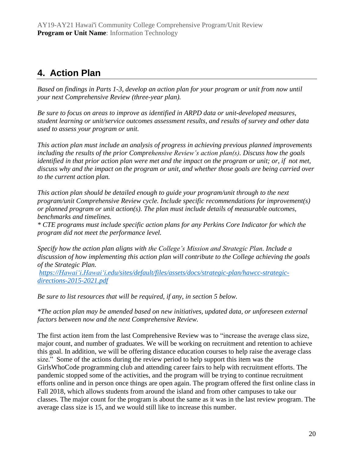## **4. Action Plan**

*Based on findings in Parts 1-3, develop an action plan for your program or unit from now until your next Comprehensive Review (three-year plan).* 

*Be sure to focus on areas to improve as identified in ARPD data or unit-developed measures, student learning or unit/service outcomes assessment results, and results of survey and other data used to assess your program or unit.* 

*This action plan must include an analysis of progress in achieving previous planned improvements including the results of the prior Comprehensive Review's action plan(s). Discuss how the goals identified in that prior action plan were met and the impact on the program or unit; or, if not met, discuss why and the impact on the program or unit, and whether those goals are being carried over to the current action plan.*

*This action plan should be detailed enough to guide your program/unit through to the next program/unit Comprehensive Review cycle. Include specific recommendations for improvement(s) or planned program or unit action(s). The plan must include details of measurable outcomes, benchmarks and timelines.* 

*\* CTE programs must include specific action plans for any Perkins Core Indicator for which the program did not meet the performance level.*

*Specify how the action plan aligns with the College's Mission and Strategic Plan. Include a discussion of how implementing this action plan will contribute to the College achieving the goals of the Strategic Plan.*

*[https://Hawaiʻi.Hawaiʻi.edu/sites/default/files/assets/docs/strategic-plan/hawcc-strategic](https://hawaii.hawaii.edu/sites/default/files/assets/docs/strategic-plan/hawcc-strategic-directions-2015-2021.pdf)[directions-2015-2021.pdf](https://hawaii.hawaii.edu/sites/default/files/assets/docs/strategic-plan/hawcc-strategic-directions-2015-2021.pdf)*

*Be sure to list resources that will be required, if any, in section 5 below.*

*\*The action plan may be amended based on new initiatives, updated data, or unforeseen external factors between now and the next Comprehensive Review.*

The first action item from the last Comprehensive Review was to "increase the average class size, major count, and number of graduates. We will be working on recruitment and retention to achieve this goal. In addition, we will be offering distance education courses to help raise the average class size." Some of the actions during the review period to help support this item was the GirlsWhoCode programming club and attending career fairs to help with recruitment efforts. The pandemic stopped some of the activities, and the program will be trying to continue recruitment efforts online and in person once things are open again. The program offered the first online class in Fall 2018, which allows students from around the island and from other campuses to take our classes. The major count for the program is about the same as it was in the last review program. The average class size is 15, and we would still like to increase this number.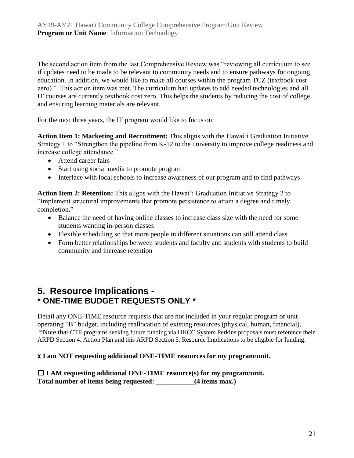The second action item from the last Comprehensive Review was "reviewing all curriculum to see if updates need to be made to be relevant to community needs and to ensure pathways for ongoing education. In addition, we would like to make all courses within the program TCZ (textbook cost zero)." This action item was met. The curriculum had updates to add needed technologies and all IT courses are currently textbook cost zero. This helps the students by reducing the cost of college and ensuring learning materials are relevant.

For the next three years, the IT program would like to focus on:

**Action Item 1: Marketing and Recruitment:** This aligns with the Hawaiʻi Graduation Initiative Strategy 1 to "Strengthen the pipeline from K-12 to the university to improve college readiness and increase college attendance."

- Attend career fairs
- Start using social media to promote program
- Interface with local schools to increase awareness of our program and to find pathways

**Action Item 2: Retention:** This aligns with the Hawaiʻi Graduation Initiative Strategy 2 to "Implement structural improvements that promote persistence to attain a degree and timely completion."

- Balance the need of having online classes to increase class size with the need for some students wanting in-person classes
- Flexible scheduling so that more people in different situations can still attend class
- Form better relationships between students and faculty and students with students to build community and increase retention

#### **5. Resource Implications - \* ONE-TIME BUDGET REQUESTS ONLY \***

Detail any ONE-TIME resource requests that are not included in your regular program or unit operating "B" budget, including reallocation of existing resources (physical, human, financial). \*Note that CTE programs seeking future funding via UHCC System Perkins proposals must reference their ARPD Section 4. Action Plan and this ARPD Section 5. Resource Implications to be eligible for funding.

#### x **I am NOT requesting additional ONE-TIME resources for my program/unit.**

☐ **I AM requesting additional ONE-TIME resource(s) for my program/unit. Total number of items being requested: \_\_\_\_\_\_\_\_\_\_\_(4 items max.)**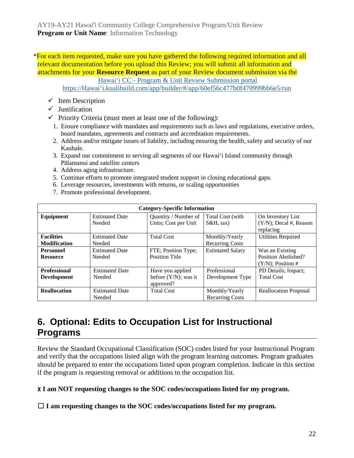AY19-AY21 Hawai'i Community College Comprehensive Program/Unit Review **Program or Unit Name**: Information Technology

\*For each item requested, make sure you have gathered the following required information and all relevant documentation before you upload this Review; you will submit all information and attachments for your **Resource Request** as part of your Review document submission via the

Hawaiʻi CC - [Program & Unit Review Submission portal](https://hawaii.kualibuild.com/app/builder/#/app/60ef56c477b0f470999bb6e5/run)

[https://Hawaiʻi.kualibuild.com/app/builder/#/app/60ef56c477b0f470999bb6e5/run](https://hawaii.kualibuild.com/app/builder/#/app/60ef56c477b0f470999bb6e5/run)

- ✓ Item Description
- ✓ Justification
- $\checkmark$  Priority Criteria (must meet at least one of the following):
	- 1. Ensure compliance with mandates and requirements such as laws and regulations, executive orders, board mandates, agreements and contracts and accreditation requirements.
	- 2. Address and/or mitigate issues of liability, including ensuring the health, safety and security of our Kauhale.
	- 3. Expand our commitment to serving all segments of our Hawaiʻi Island community through Pālamanui and satellite centers
	- 4. Address aging infrastructure.
	- 5. Continue efforts to promote integrated student support in closing educational gaps.
	- 6. Leverage resources, investments with returns, or scaling opportunities
	- 7. Promote professional development.

| <b>Category-Specific Information</b> |                       |                         |                         |                                        |
|--------------------------------------|-----------------------|-------------------------|-------------------------|----------------------------------------|
| Equipment                            | <b>Estimated Date</b> | Quantity / Number of    | Total Cost (with        | On Inventory List                      |
|                                      | Needed                | Units; Cost per Unit    | $S\&H$ , tax)           | $(Y/N)$ ; Decal #, Reason<br>replacing |
| <b>Facilities</b>                    | <b>Estimated Date</b> | <b>Total Cost</b>       | Monthly/Yearly          | <b>Utilities Required</b>              |
| <b>Modification</b>                  | Needed                |                         | <b>Recurring Costs</b>  |                                        |
| <b>Personnel</b>                     | <b>Estimated Date</b> | FTE; Position Type;     | <b>Estimated Salary</b> | Was an Existing                        |
| <b>Resource</b>                      | Needed                | <b>Position Title</b>   |                         | Position Abolished?                    |
|                                      |                       |                         |                         | $(Y/N)$ ; Position #                   |
| <b>Professional</b>                  | <b>Estimated Date</b> | Have you applied        | Professional            | PD Details; Impact;                    |
| <b>Development</b>                   | Needed                | before $(Y/N)$ ; was it | Development Type        | <b>Total Cost</b>                      |
|                                      |                       | approved?               |                         |                                        |
| <b>Reallocation</b>                  | <b>Estimated Date</b> | <b>Total Cost</b>       | Monthly/Yearly          | <b>Reallocation Proposal</b>           |
|                                      | Needed                |                         | <b>Recurring Costs</b>  |                                        |

## **6. Optional: Edits to Occupation List for Instructional Programs**

Review the Standard Occupational Classification (SOC) codes listed for your Instructional Program and verify that the occupations listed align with the program learning outcomes. Program graduates should be prepared to enter the occupations listed upon program completion. Indicate in this section if the program is requesting removal or additions to the occupation list.

#### x **I am NOT requesting changes to the SOC codes/occupations listed for my program.**

☐ **I am requesting changes to the SOC codes/occupations listed for my program.**